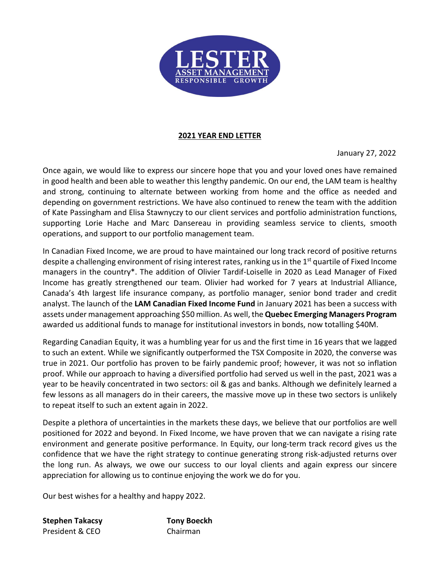

# **2021 YEAR END LETTER**

January 27, 2022

Once again, we would like to express our sincere hope that you and your loved ones have remained in good health and been able to weather this lengthy pandemic. On our end, the LAM team is healthy and strong, continuing to alternate between working from home and the office as needed and depending on government restrictions. We have also continued to renew the team with the addition of Kate Passingham and Elisa Stawnyczy to our client services and portfolio administration functions, supporting Lorie Hache and Marc Dansereau in providing seamless service to clients, smooth operations, and support to our portfolio management team.

In Canadian Fixed Income, we are proud to have maintained our long track record of positive returns despite a challenging environment of rising interest rates, ranking us in the 1<sup>st</sup> quartile of Fixed Income managers in the country\*. The addition of Olivier Tardif-Loiselle in 2020 as Lead Manager of Fixed Income has greatly strengthened our team. Olivier had worked for 7 years at Industrial Alliance, Canada's 4th largest life insurance company, as portfolio manager, senior bond trader and credit analyst. The launch of the **LAM Canadian Fixed Income Fund** in January 2021 has been a success with assets under management approaching \$50 million. As well, the **Quebec Emerging Managers Program** awarded us additional funds to manage for institutional investors in bonds, now totalling \$40M.

Regarding Canadian Equity, it was a humbling year for us and the first time in 16 years that we lagged to such an extent. While we significantly outperformed the TSX Composite in 2020, the converse was true in 2021. Our portfolio has proven to be fairly pandemic proof; however, it was not so inflation proof. While our approach to having a diversified portfolio had served us well in the past, 2021 was a year to be heavily concentrated in two sectors: oil & gas and banks. Although we definitely learned a few lessons as all managers do in their careers, the massive move up in these two sectors is unlikely to repeat itself to such an extent again in 2022.

Despite a plethora of uncertainties in the markets these days, we believe that our portfolios are well positioned for 2022 and beyond. In Fixed Income, we have proven that we can navigate a rising rate environment and generate positive performance. In Equity, our long-term track record gives us the confidence that we have the right strategy to continue generating strong risk-adjusted returns over the long run. As always, we owe our success to our loyal clients and again express our sincere appreciation for allowing us to continue enjoying the work we do for you.

Our best wishes for a healthy and happy 2022.

**Stephen Takacsy Tony Boeckh** President & CEO Chairman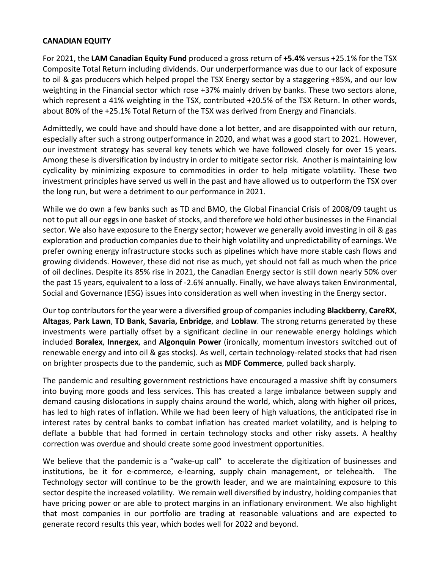### **CANADIAN EQUITY**

For 2021, the **LAM Canadian Equity Fund** produced a gross return of **+5.4%** versus +25.1% for the TSX Composite Total Return including dividends. Our underperformance was due to our lack of exposure to oil & gas producers which helped propel the TSX Energy sector by a staggering +85%, and our low weighting in the Financial sector which rose +37% mainly driven by banks. These two sectors alone, which represent a 41% weighting in the TSX, contributed +20.5% of the TSX Return. In other words, about 80% of the +25.1% Total Return of the TSX was derived from Energy and Financials.

Admittedly, we could have and should have done a lot better, and are disappointed with our return, especially after such a strong outperformance in 2020, and what was a good start to 2021. However, our investment strategy has several key tenets which we have followed closely for over 15 years. Among these is diversification by industry in order to mitigate sector risk. Another is maintaining low cyclicality by minimizing exposure to commodities in order to help mitigate volatility. These two investment principles have served us well in the past and have allowed us to outperform the TSX over the long run, but were a detriment to our performance in 2021.

While we do own a few banks such as TD and BMO, the Global Financial Crisis of 2008/09 taught us not to put all our eggs in one basket of stocks, and therefore we hold other businesses in the Financial sector. We also have exposure to the Energy sector; however we generally avoid investing in oil & gas exploration and production companies due to their high volatility and unpredictability of earnings. We prefer owning energy infrastructure stocks such as pipelines which have more stable cash flows and growing dividends. However, these did not rise as much, yet should not fall as much when the price of oil declines. Despite its 85% rise in 2021, the Canadian Energy sector is still down nearly 50% over the past 15 years, equivalent to a loss of -2.6% annually. Finally, we have always taken Environmental, Social and Governance (ESG) issues into consideration as well when investing in the Energy sector.

Our top contributors for the year were a diversified group of companies including **Blackberry**, **CareRX**, **Altagas**, **Park Lawn**, **TD Bank**, **Savaria, Enbridge**, and **Loblaw**. The strong returns generated by these investments were partially offset by a significant decline in our renewable energy holdings which included **Boralex**, **Innergex**, and **Algonquin Power** (ironically, momentum investors switched out of renewable energy and into oil & gas stocks). As well, certain technology-related stocks that had risen on brighter prospects due to the pandemic, such as **MDF Commerce**, pulled back sharply.

The pandemic and resulting government restrictions have encouraged a massive shift by consumers into buying more goods and less services. This has created a large imbalance between supply and demand causing dislocations in supply chains around the world, which, along with higher oil prices, has led to high rates of inflation. While we had been leery of high valuations, the anticipated rise in interest rates by central banks to combat inflation has created market volatility, and is helping to deflate a bubble that had formed in certain technology stocks and other risky assets. A healthy correction was overdue and should create some good investment opportunities.

We believe that the pandemic is a "wake-up call" to accelerate the digitization of businesses and institutions, be it for e-commerce, e-learning, supply chain management, or telehealth. The Technology sector will continue to be the growth leader, and we are maintaining exposure to this sector despite the increased volatility. We remain well diversified by industry, holding companies that have pricing power or are able to protect margins in an inflationary environment. We also highlight that most companies in our portfolio are trading at reasonable valuations and are expected to generate record results this year, which bodes well for 2022 and beyond.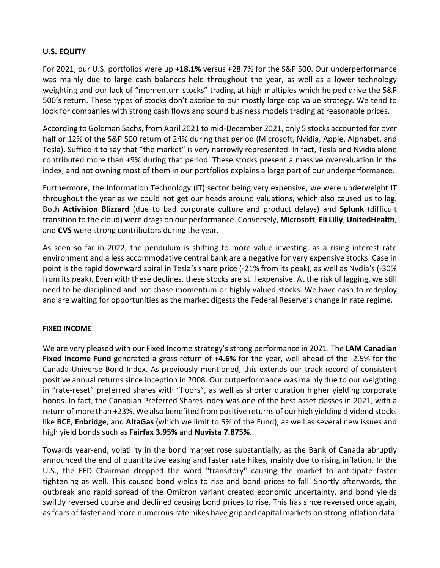# **U.S. EQUITY**

For 2021, our U.S. portfolios were up **+18.1%** versus +28.7% for the S&P 500. Our underperformance was mainly due to large cash balances held throughout the year, as well as a lower technology weighting and our lack of "momentum stocks" trading at high multiples which helped drive the S&P 500's return. These types of stocks don't ascribe to our mostly large cap value strategy. We tend to look for companies with strong cash flows and sound business models trading at reasonable prices.

According to Goldman Sachs, from April 2021 to mid-December 2021, only 5 stocks accounted for over half or 12% of the S&P 500 return of 24% during that period (Microsoft, Nvidia, Apple, Alphabet, and Tesla). Suffice it to say that "the market" is very narrowly represented. In fact, Tesla and Nvidia alone contributed more than +9% during that period. These stocks present a massive overvaluation in the index, and not owning most of them in our portfolios explains a large part of our underperformance.

Furthermore, the Information Technology (IT) sector being very expensive, we were underweight IT throughout the year as we could not get our heads around valuations, which also caused us to lag. Both **Activision Blizzard** (due to bad corporate culture and product delays) and **Splunk** (difficult transition to the cloud) were drags on our performance. Conversely, **Microsoft**, **Eli Lilly**, **UnitedHealth**, and **CVS** were strong contributors during the year.

As seen so far in 2022, the pendulum is shifting to more value investing, as a rising interest rate environment and a less accommodative central bank are a negative for very expensive stocks. Case in point is the rapid downward spiral in Tesla's share price (-21% from its peak), as well as Nvdia's (-30% from its peak). Even with these declines, these stocks are still expensive. At the risk of lagging, we still need to be disciplined and not chase momentum or highly valued stocks. We have cash to redeploy and are waiting for opportunities as the market digests the Federal Reserve's change in rate regime.

#### **FIXED INCOME**

We are very pleased with our Fixed Income strategy's strong performance in 2021. The **LAM Canadian Fixed Income Fund** generated a gross return of **+4.6%** for the year, well ahead of the -2.5% for the Canada Universe Bond Index. As previously mentioned, this extends our track record of consistent positive annual returns since inception in 2008. Our outperformance was mainly due to our weighting in "rate-reset" preferred shares with "floors", as well as shorter duration higher yielding corporate bonds. In fact, the Canadian Preferred Shares index was one of the best asset classes in 2021, with a return of more than +23%. We also benefited from positive returns of our high yielding dividend stocks like **BCE**, **Enbridge**, and **AltaGas** (which we limit to 5% of the Fund), as well as several new issues and high yield bonds such as **Fairfax 3.95%** and **Nuvista 7.875%**.

Towards year-end, volatility in the bond market rose substantially, as the Bank of Canada abruptly announced the end of quantitative easing and faster rate hikes, mainly due to rising inflation. In the U.S., the FED Chairman dropped the word "transitory" causing the market to anticipate faster tightening as well. This caused bond yields to rise and bond prices to fall. Shortly afterwards, the outbreak and rapid spread of the Omicron variant created economic uncertainty, and bond yields swiftly reversed course and declined causing bond prices to rise. This has since reversed once again, as fears of faster and more numerous rate hikes have gripped capital markets on strong inflation data.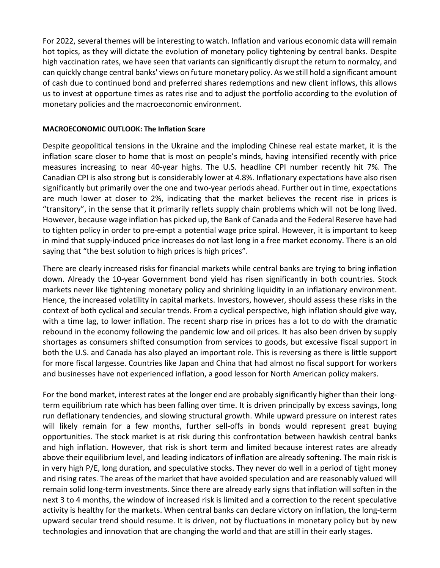For 2022, several themes will be interesting to watch. Inflation and various economic data will remain hot topics, as they will dictate the evolution of monetary policy tightening by central banks. Despite high vaccination rates, we have seen that variants can significantly disrupt the return to normalcy, and can quickly change central banks' views on future monetary policy. As we still hold a significant amount of cash due to continued bond and preferred shares redemptions and new client inflows, this allows us to invest at opportune times as rates rise and to adjust the portfolio according to the evolution of monetary policies and the macroeconomic environment.

#### **MACROECONOMIC OUTLOOK: The Inflation Scare**

Despite geopolitical tensions in the Ukraine and the imploding Chinese real estate market, it is the inflation scare closer to home that is most on people's minds, having intensified recently with price measures increasing to near 40-year highs. The U.S. headline CPI number recently hit 7%. The Canadian CPI is also strong but is considerably lower at 4.8%. Inflationary expectations have also risen significantly but primarily over the one and two-year periods ahead. Further out in time, expectations are much lower at closer to 2%, indicating that the market believes the recent rise in prices is "transitory", in the sense that it primarily reflets supply chain problems which will not be long lived. However, because wage inflation has picked up, the Bank of Canada and the Federal Reserve have had to tighten policy in order to pre-empt a potential wage price spiral. However, it is important to keep in mind that supply-induced price increases do not last long in a free market economy. There is an old saying that "the best solution to high prices is high prices".

There are clearly increased risks for financial markets while central banks are trying to bring inflation down. Already the 10-year Government bond yield has risen significantly in both countries. Stock markets never like tightening monetary policy and shrinking liquidity in an inflationary environment. Hence, the increased volatility in capital markets. Investors, however, should assess these risks in the context of both cyclical and secular trends. From a cyclical perspective, high inflation should give way, with a time lag, to lower inflation. The recent sharp rise in prices has a lot to do with the dramatic rebound in the economy following the pandemic low and oil prices. It has also been driven by supply shortages as consumers shifted consumption from services to goods, but excessive fiscal support in both the U.S. and Canada has also played an important role. This is reversing as there is little support for more fiscal largesse. Countries like Japan and China that had almost no fiscal support for workers and businesses have not experienced inflation, a good lesson for North American policy makers.

For the bond market, interest rates at the longer end are probably significantly higher than their longterm equilibrium rate which has been falling over time. It is driven principally by excess savings, long run deflationary tendencies, and slowing structural growth. While upward pressure on interest rates will likely remain for a few months, further sell-offs in bonds would represent great buying opportunities. The stock market is at risk during this confrontation between hawkish central banks and high inflation. However, that risk is short term and limited because interest rates are already above their equilibrium level, and leading indicators of inflation are already softening. The main risk is in very high P/E, long duration, and speculative stocks. They never do well in a period of tight money and rising rates. The areas of the market that have avoided speculation and are reasonably valued will remain solid long-term investments. Since there are already early signs that inflation will soften in the next 3 to 4 months, the window of increased risk is limited and a correction to the recent speculative activity is healthy for the markets. When central banks can declare victory on inflation, the long-term upward secular trend should resume. It is driven, not by fluctuations in monetary policy but by new technologies and innovation that are changing the world and that are still in their early stages.